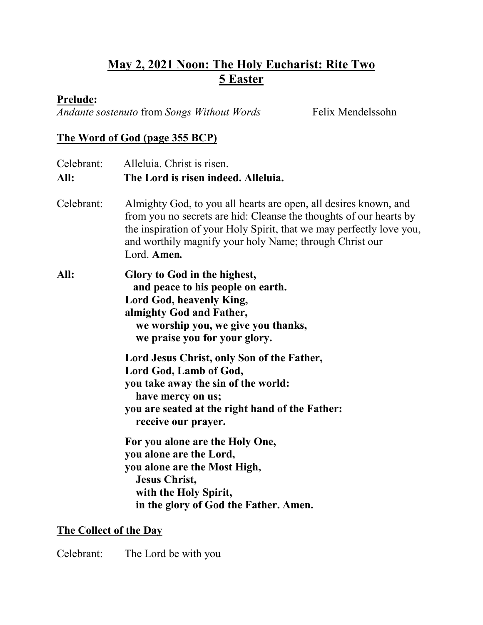# **May 2, 2021 Noon: The Holy Eucharist: Rite Two 5 Easter**

### **Prelude:**

*Andante sostenuto* from *Songs Without Words* Felix Mendelssohn

## **The Word of God (page 355 BCP)**

| Celebrant: | Alleluia. Christ is risen.                                                                                                                                                                                                                                                               |
|------------|------------------------------------------------------------------------------------------------------------------------------------------------------------------------------------------------------------------------------------------------------------------------------------------|
| All:       | The Lord is risen indeed. Alleluia.                                                                                                                                                                                                                                                      |
| Celebrant: | Almighty God, to you all hearts are open, all desires known, and<br>from you no secrets are hid: Cleanse the thoughts of our hearts by<br>the inspiration of your Holy Spirit, that we may perfectly love you,<br>and worthily magnify your holy Name; through Christ our<br>Lord. Amen. |
| All:       | Glory to God in the highest,<br>and peace to his people on earth.<br>Lord God, heavenly King,<br>almighty God and Father,<br>we worship you, we give you thanks,<br>we praise you for your glory.                                                                                        |
|            | Lord Jesus Christ, only Son of the Father,<br>Lord God, Lamb of God,<br>you take away the sin of the world:<br>have mercy on us;<br>you are seated at the right hand of the Father:<br>receive our prayer.                                                                               |
|            | For you alone are the Holy One,<br>you alone are the Lord,<br>you alone are the Most High,<br><b>Jesus Christ,</b><br>with the Holy Spirit,<br>in the glory of God the Father. Amen.                                                                                                     |

## **The Collect of the Day**

Celebrant: The Lord be with you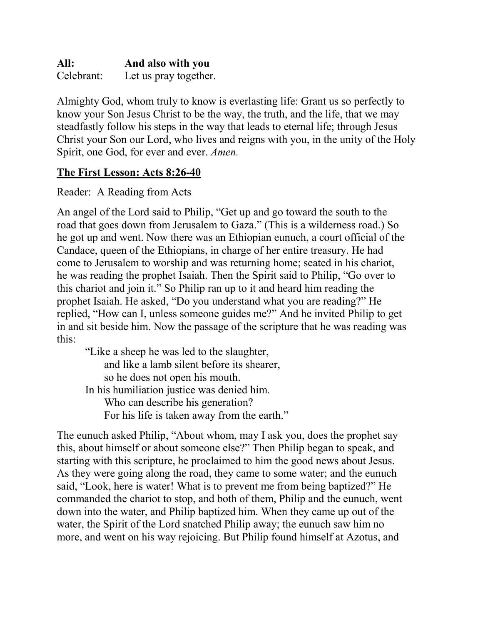| All:       | And also with you     |
|------------|-----------------------|
| Celebrant: | Let us pray together. |

Almighty God, whom truly to know is everlasting life: Grant us so perfectly to know your Son Jesus Christ to be the way, the truth, and the life, that we may steadfastly follow his steps in the way that leads to eternal life; through Jesus Christ your Son our Lord, who lives and reigns with you, in the unity of the Holy Spirit, one God, for ever and ever. *Amen.*

### **The First Lesson: Acts 8:26-40**

Reader: A Reading from Acts

An angel of the Lord said to Philip, "Get up and go toward the south to the road that goes down from Jerusalem to Gaza." (This is a wilderness road.) So he got up and went. Now there was an Ethiopian eunuch, a court official of the Candace, queen of the Ethiopians, in charge of her entire treasury. He had come to Jerusalem to worship and was returning home; seated in his chariot, he was reading the prophet Isaiah. Then the Spirit said to Philip, "Go over to this chariot and join it." So Philip ran up to it and heard him reading the prophet Isaiah. He asked, "Do you understand what you are reading?" He replied, "How can I, unless someone guides me?" And he invited Philip to get in and sit beside him. Now the passage of the scripture that he was reading was this:

"Like a sheep he was led to the slaughter, and like a lamb silent before its shearer, so he does not open his mouth. In his humiliation justice was denied him. Who can describe his generation? For his life is taken away from the earth."

The eunuch asked Philip, "About whom, may I ask you, does the prophet say this, about himself or about someone else?" Then Philip began to speak, and starting with this scripture, he proclaimed to him the good news about Jesus. As they were going along the road, they came to some water; and the eunuch said, "Look, here is water! What is to prevent me from being baptized?" He commanded the chariot to stop, and both of them, Philip and the eunuch, went down into the water, and Philip baptized him. When they came up out of the water, the Spirit of the Lord snatched Philip away; the eunuch saw him no more, and went on his way rejoicing. But Philip found himself at Azotus, and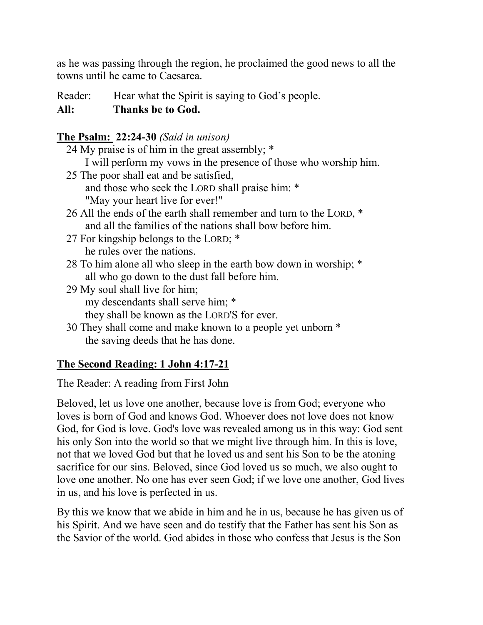as he was passing through the region, he proclaimed the good news to all the towns until he came to Caesarea.

Reader: Hear what the Spirit is saying to God's people. **All: Thanks be to God.**

## **The Psalm: 22:24-30** *(Said in unison)*

- 24 My praise is of him in the great assembly; \* I will perform my vows in the presence of those who worship him. 25 The poor shall eat and be satisfied, and those who seek the LORD shall praise him: \* "May your heart live for ever!" 26 All the ends of the earth shall remember and turn to the LORD, \* and all the families of the nations shall bow before him. 27 For kingship belongs to the LORD; \* he rules over the nations. 28 To him alone all who sleep in the earth bow down in worship; \* all who go down to the dust fall before him. 29 My soul shall live for him; my descendants shall serve him; \*
	- they shall be known as the LORD'S for ever.
	- 30 They shall come and make known to a people yet unborn \* the saving deeds that he has done.

## **The Second Reading: 1 John 4:17-21**

The Reader: A reading from First John

Beloved, let us love one another, because love is from God; everyone who loves is born of God and knows God. Whoever does not love does not know God, for God is love. God's love was revealed among us in this way: God sent his only Son into the world so that we might live through him. In this is love, not that we loved God but that he loved us and sent his Son to be the atoning sacrifice for our sins. Beloved, since God loved us so much, we also ought to love one another. No one has ever seen God; if we love one another, God lives in us, and his love is perfected in us.

By this we know that we abide in him and he in us, because he has given us of his Spirit. And we have seen and do testify that the Father has sent his Son as the Savior of the world. God abides in those who confess that Jesus is the Son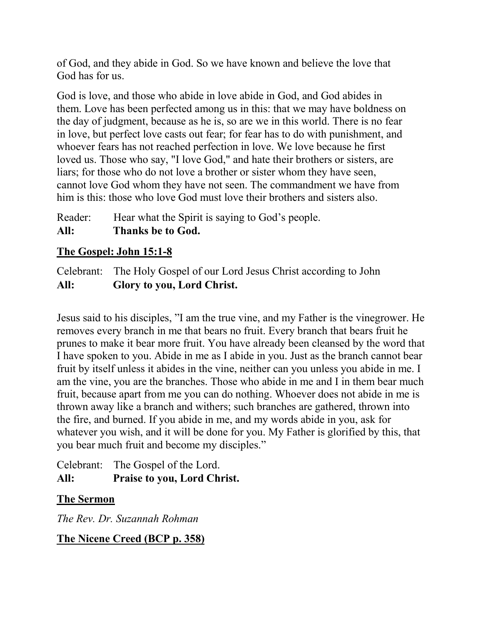of God, and they abide in God. So we have known and believe the love that God has for us.

God is love, and those who abide in love abide in God, and God abides in them. Love has been perfected among us in this: that we may have boldness on the day of judgment, because as he is, so are we in this world. There is no fear in love, but perfect love casts out fear; for fear has to do with punishment, and whoever fears has not reached perfection in love. We love because he first loved us. Those who say, "I love God," and hate their brothers or sisters, are liars; for those who do not love a brother or sister whom they have seen, cannot love God whom they have not seen. The commandment we have from him is this: those who love God must love their brothers and sisters also.

Reader: Hear what the Spirit is saying to God's people. **All: Thanks be to God.**

## **The Gospel: John 15:1-8**

Celebrant: The Holy Gospel of our Lord Jesus Christ according to John **All: Glory to you, Lord Christ.**

Jesus said to his disciples, "I am the true vine, and my Father is the vinegrower. He removes every branch in me that bears no fruit. Every branch that bears fruit he prunes to make it bear more fruit. You have already been cleansed by the word that I have spoken to you. Abide in me as I abide in you. Just as the branch cannot bear fruit by itself unless it abides in the vine, neither can you unless you abide in me. I am the vine, you are the branches. Those who abide in me and I in them bear much fruit, because apart from me you can do nothing. Whoever does not abide in me is thrown away like a branch and withers; such branches are gathered, thrown into the fire, and burned. If you abide in me, and my words abide in you, ask for whatever you wish, and it will be done for you. My Father is glorified by this, that you bear much fruit and become my disciples."

## Celebrant: The Gospel of the Lord. **All: Praise to you, Lord Christ.**

## **The Sermon**

*The Rev. Dr. Suzannah Rohman*

**The Nicene Creed (BCP p. 358)**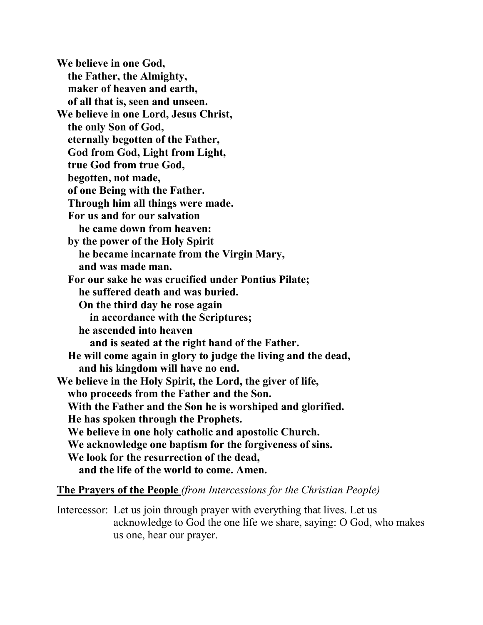**We believe in one God, the Father, the Almighty, maker of heaven and earth, of all that is, seen and unseen. We believe in one Lord, Jesus Christ, the only Son of God, eternally begotten of the Father, God from God, Light from Light, true God from true God, begotten, not made, of one Being with the Father. Through him all things were made. For us and for our salvation he came down from heaven: by the power of the Holy Spirit he became incarnate from the Virgin Mary, and was made man. For our sake he was crucified under Pontius Pilate; he suffered death and was buried. On the third day he rose again in accordance with the Scriptures; he ascended into heaven and is seated at the right hand of the Father. He will come again in glory to judge the living and the dead, and his kingdom will have no end. We believe in the Holy Spirit, the Lord, the giver of life, who proceeds from the Father and the Son. With the Father and the Son he is worshiped and glorified. He has spoken through the Prophets. We believe in one holy catholic and apostolic Church. We acknowledge one baptism for the forgiveness of sins. We look for the resurrection of the dead, and the life of the world to come. Amen.**

**The Prayers of the People** *(from Intercessions for the Christian People)*

Intercessor: Let us join through prayer with everything that lives. Let us acknowledge to God the one life we share, saying: O God, who makes us one, hear our prayer.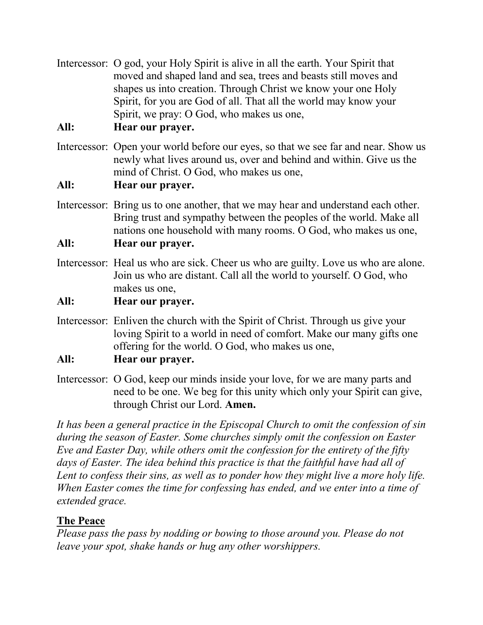Intercessor: O god, your Holy Spirit is alive in all the earth. Your Spirit that moved and shaped land and sea, trees and beasts still moves and shapes us into creation. Through Christ we know your one Holy Spirit, for you are God of all. That all the world may know your Spirit, we pray: O God, who makes us one,

**All: Hear our prayer.**

Intercessor: Open your world before our eyes, so that we see far and near. Show us newly what lives around us, over and behind and within. Give us the mind of Christ. O God, who makes us one,

**All: Hear our prayer.**

Intercessor: Bring us to one another, that we may hear and understand each other. Bring trust and sympathy between the peoples of the world. Make all nations one household with many rooms. O God, who makes us one,

### **All: Hear our prayer.**

Intercessor: Heal us who are sick. Cheer us who are guilty. Love us who are alone. Join us who are distant. Call all the world to yourself. O God, who makes us one,

### **All: Hear our prayer.**

Intercessor: Enliven the church with the Spirit of Christ. Through us give your loving Spirit to a world in need of comfort. Make our many gifts one offering for the world. O God, who makes us one,

## **All: Hear our prayer.**

Intercessor: O God, keep our minds inside your love, for we are many parts and need to be one. We beg for this unity which only your Spirit can give, through Christ our Lord. **Amen.**

*It has been a general practice in the Episcopal Church to omit the confession of sin during the season of Easter. Some churches simply omit the confession on Easter Eve and Easter Day, while others omit the confession for the entirety of the fifty days of Easter. The idea behind this practice is that the faithful have had all of Lent to confess their sins, as well as to ponder how they might live a more holy life. When Easter comes the time for confessing has ended, and we enter into a time of extended grace.*

## **The Peace**

*Please pass the pass by nodding or bowing to those around you. Please do not leave your spot, shake hands or hug any other worshippers.*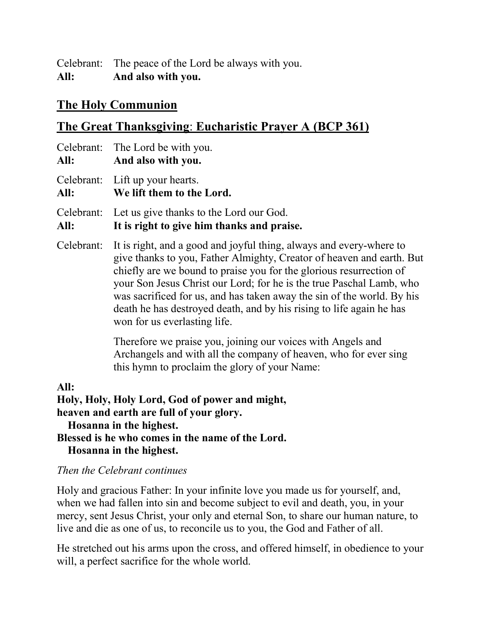Celebrant: The peace of the Lord be always with you. **All: And also with you.**

## **The Holy Communion**

# **The Great Thanksgiving**: **Eucharistic Prayer A (BCP 361)**

|      | Celebrant: The Lord be with you.<br>All: And also with you.                                      |
|------|--------------------------------------------------------------------------------------------------|
| All: | Celebrant: Lift up your hearts.<br>We lift them to the Lord.                                     |
| All: | Celebrant: Let us give thanks to the Lord our God.<br>It is right to give him thanks and praise. |

Celebrant: It is right, and a good and joyful thing, always and every-where to give thanks to you, Father Almighty, Creator of heaven and earth. But chiefly are we bound to praise you for the glorious resurrection of your Son Jesus Christ our Lord; for he is the true Paschal Lamb, who was sacrificed for us, and has taken away the sin of the world. By his death he has destroyed death, and by his rising to life again he has won for us everlasting life.

> Therefore we praise you, joining our voices with Angels and Archangels and with all the company of heaven, who for ever sing this hymn to proclaim the glory of your Name:

## **All:**

**Holy, Holy, Holy Lord, God of power and might, heaven and earth are full of your glory. Hosanna in the highest. Blessed is he who comes in the name of the Lord. Hosanna in the highest.**

## *Then the Celebrant continues*

Holy and gracious Father: In your infinite love you made us for yourself, and, when we had fallen into sin and become subject to evil and death, you, in your mercy, sent Jesus Christ, your only and eternal Son, to share our human nature, to live and die as one of us, to reconcile us to you, the God and Father of all.

He stretched out his arms upon the cross, and offered himself, in obedience to your will, a perfect sacrifice for the whole world.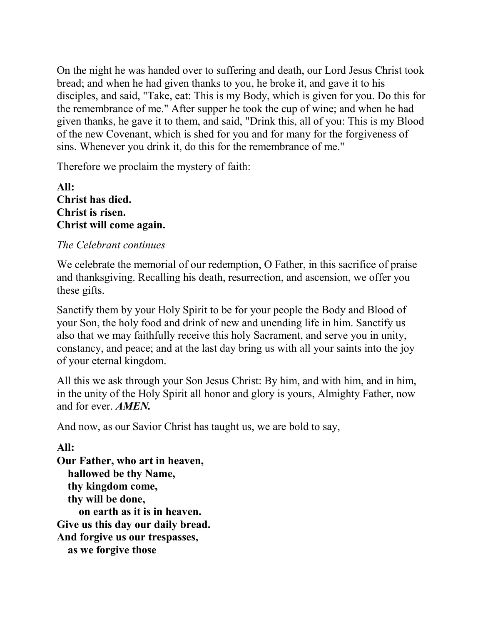On the night he was handed over to suffering and death, our Lord Jesus Christ took bread; and when he had given thanks to you, he broke it, and gave it to his disciples, and said, "Take, eat: This is my Body, which is given for you. Do this for the remembrance of me." After supper he took the cup of wine; and when he had given thanks, he gave it to them, and said, "Drink this, all of you: This is my Blood of the new Covenant, which is shed for you and for many for the forgiveness of sins. Whenever you drink it, do this for the remembrance of me."

Therefore we proclaim the mystery of faith:

## **All: Christ has died. Christ is risen. Christ will come again.**

## *The Celebrant continues*

We celebrate the memorial of our redemption, O Father, in this sacrifice of praise and thanksgiving. Recalling his death, resurrection, and ascension, we offer you these gifts.

Sanctify them by your Holy Spirit to be for your people the Body and Blood of your Son, the holy food and drink of new and unending life in him. Sanctify us also that we may faithfully receive this holy Sacrament, and serve you in unity, constancy, and peace; and at the last day bring us with all your saints into the joy of your eternal kingdom.

All this we ask through your Son Jesus Christ: By him, and with him, and in him, in the unity of the Holy Spirit all honor and glory is yours, Almighty Father, now and for ever. *AMEN.*

And now, as our Savior Christ has taught us, we are bold to say,

**All: Our Father, who art in heaven, hallowed be thy Name, thy kingdom come, thy will be done, on earth as it is in heaven. Give us this day our daily bread. And forgive us our trespasses, as we forgive those**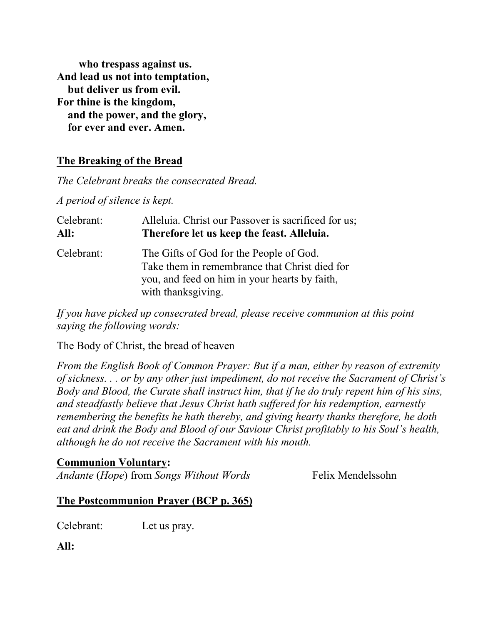**who trespass against us. And lead us not into temptation, but deliver us from evil. For thine is the kingdom, and the power, and the glory, for ever and ever. Amen.**

## **The Breaking of the Bread**

*The Celebrant breaks the consecrated Bread.*

*A period of silence is kept.*

| Celebrant: | Alleluia. Christ our Passover is sacrificed for us;                                                                                                             |
|------------|-----------------------------------------------------------------------------------------------------------------------------------------------------------------|
| All:       | Therefore let us keep the feast. Alleluia.                                                                                                                      |
| Celebrant: | The Gifts of God for the People of God.<br>Take them in remembrance that Christ died for<br>you, and feed on him in your hearts by faith,<br>with thanksgiving. |

*If you have picked up consecrated bread, please receive communion at this point saying the following words:*

The Body of Christ, the bread of heaven

*From the English Book of Common Prayer: But if a man, either by reason of extremity of sickness. . . or by any other just impediment, do not receive the Sacrament of Christ's Body and Blood, the Curate shall instruct him, that if he do truly repent him of his sins, and steadfastly believe that Jesus Christ hath suffered for his redemption, earnestly remembering the benefits he hath thereby, and giving hearty thanks therefore, he doth eat and drink the Body and Blood of our Saviour Christ profitably to his Soul's health, although he do not receive the Sacrament with his mouth.*

### **Communion Voluntary:**

*Andante* (*Hope*) from *Songs Without Words* Felix Mendelssohn

## **The Postcommunion Prayer (BCP p. 365)**

Celebrant: Let us pray.

**All:**